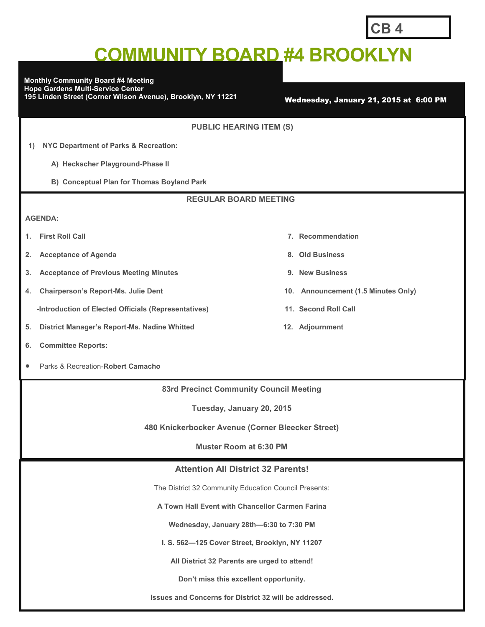## **CB 4**

# **COMMUNITY BOARD #4 BROOKLYN**

#### **Monthly Community Board #4 Meeting Hope Gardens Multi-Service Center 195 Linden Street (Corner Wilson Avenue), Brooklyn, NY 11221** Wednesday, January 21, 2015 at 6:00 PM

**PUBLIC HEARING ITEM (S)** 

**1) NYC Department of Parks & Recreation:**

**A) Heckscher Playground-Phase II**

**B) Conceptual Plan for Thomas Boyland Park**

#### **REGULAR BOARD MEETING**

#### **AGENDA:**

- 
- **2. Acceptance of Agenda 8. Old Business**
- **3. Acceptance of Previous Meeting Minutes 9. New Business**
- **4. Chairperson's Report-Ms. Julie Dent 10. Announcement (1.5 Minutes Only)**

**-Introduction of Elected Officials (Representatives) 11. Second Roll Call**

- **5. District Manager's Report-Ms. Nadine Whitted 12. Adjournment**
- **6. Committee Reports:**
- Parks & Recreation-**Robert Camacho**
- **1. First Roll Call 7. Recommendation**
	-
	-
	-
	-
	-

**83rd Precinct Community Council Meeting**

**Tuesday, January 20, 2015**

**480 Knickerbocker Avenue (Corner Bleecker Street)**

**Muster Room at 6:30 PM**

#### **Attention All District 32 Parents!**

The District 32 Community Education Council Presents:

**A Town Hall Event with Chancellor Carmen Farina**

**Wednesday, January 28th—6:30 to 7:30 PM**

**I. S. 562—125 Cover Street, Brooklyn, NY 11207**

**All District 32 Parents are urged to attend!**

**Don't miss this excellent opportunity.** 

**Issues and Concerns for District 32 will be addressed.**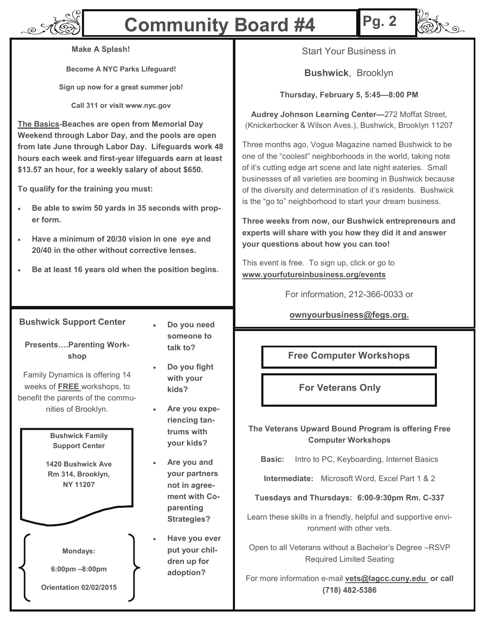# **Community Board #4** Pg. 2



ente

**Become A NYC Parks Lifeguard!**

**Sign up now for a great summer job!**

**Call 311 or visit www.nyc.gov**

**The Basics-Beaches are open from Memorial Day Weekend through Labor Day, and the pools are open from late June through Labor Day. Lifeguards work 48 hours each week and first-year lifeguards earn at least \$13.57 an hour, for a weekly salary of about \$650.**

**To qualify for the training you must:** 

- **Be able to swim 50 yards in 35 seconds with proper form.**
- **Have a minimum of 20/30 vision in one eye and 20/40 in the other without corrective lenses.**
- **Be at least 16 years old when the position begins.**

#### **Bushwick Support Center**

**Presents….Parenting Workshop**

Family Dynamics is offering 14 weeks of **FREE** workshops, to benefit the parents of the communities of Brooklyn.



**Orientation 02/02/2015**

- **Do you need someone to talk to?**
- **Do you fight with your kids?**
- **Are you experiencing tantrums with your kids?**
- **Are you and your partners not in agreement with Coparenting Strategies?**
- **Have you ever put your children up for adoption?**

Start Your Business in

2) R. 9.

**Bushwick**, Brooklyn

**Thursday, February 5, 5:45—8:00 PM**

**Audrey Johnson Learning Center—**272 Moffat Street, (Knickerbocker & Wilson Aves.), Bushwick, Brooklyn 11207

Three months ago, Vogue Magazine named Bushwick to be one of the "coolest" neighborhoods in the world, taking note of it's cutting edge art scene and late night eateries. Small businesses of all varieties are booming in Bushwick because of the diversity and determination of it's residents. Bushwick is the "go to" neighborhood to start your dream business.

**Three weeks from now, our Bushwick entrepreneurs and experts will share with you how they did it and answer your questions about how you can too!**

This event is free. To sign up, click or go to **www.yourfutureinbusiness.org/events** 

For information, 212-366-0033 or

**ownyourbusiness@fegs.org.**

### **Free Computer Workshops**

 **For Veterans Only**

**The Veterans Upward Bound Program is offering Free Computer Workshops**

**Basic:** Intro to PC, Keyboarding, Internet Basics

**Intermediate:** Microsoft Word, Excel Part 1 & 2

**Tuesdays and Thursdays: 6:00-9:30pm Rm. C-337**

Learn these skills in a friendly, helpful and supportive environment with other vets.

Open to all Veterans without a Bachelor's Degree –RSVP Required Limited Seating

For more information e-mail **vets@lagcc.cuny.edu or call (718) 482-5386**